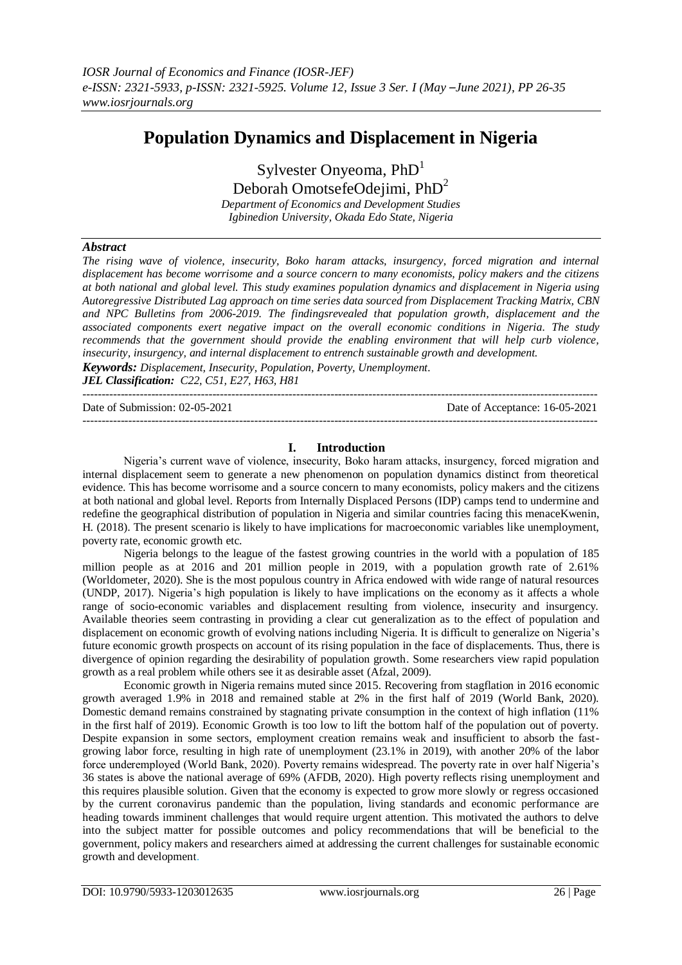# **Population Dynamics and Displacement in Nigeria**

Sylvester Onyeoma,  $PhD<sup>1</sup>$ 

Deborah OmotsefeOdejimi, PhD<sup>2</sup>

*Department of Economics and Development Studies Igbinedion University, Okada Edo State, Nigeria*

## *Abstract*

*The rising wave of violence, insecurity, Boko haram attacks, insurgency, forced migration and internal displacement has become worrisome and a source concern to many economists, policy makers and the citizens at both national and global level. This study examines population dynamics and displacement in Nigeria using Autoregressive Distributed Lag approach on time series data sourced from Displacement Tracking Matrix, CBN and NPC Bulletins from 2006-2019. The findingsrevealed that population growth, displacement and the associated components exert negative impact on the overall economic conditions in Nigeria. The study recommends that the government should provide the enabling environment that will help curb violence, insecurity, insurgency, and internal displacement to entrench sustainable growth and development. Keywords: Displacement, Insecurity, Population, Poverty, Unemployment.*

*JEL Classification: C22, C51, E27, H63, H81* ---------------------------------------------------------------------------------------------------------------------------------------

Date of Submission: 02-05-2021 Date of Acceptance: 16-05-2021

## **I. Introduction**

---------------------------------------------------------------------------------------------------------------------------------------

Nigeria's current wave of violence, insecurity, Boko haram attacks, insurgency, forced migration and internal displacement seem to generate a new phenomenon on population dynamics distinct from theoretical evidence. This has become worrisome and a source concern to many economists, policy makers and the citizens at both national and global level. Reports from Internally Displaced Persons (IDP) camps tend to undermine and redefine the geographical distribution of population in Nigeria and similar countries facing this menaceKwenin, H. (2018). The present scenario is likely to have implications for macroeconomic variables like unemployment, poverty rate, economic growth etc.

Nigeria belongs to the league of the fastest growing countries in the world with a population of 185 million people as at 2016 and 201 million people in 2019, with a population growth rate of 2.61% (Worldometer, 2020). She is the most populous country in Africa endowed with wide range of natural resources (UNDP, 2017). Nigeria's high population is likely to have implications on the economy as it affects a whole range of socio-economic variables and displacement resulting from violence, insecurity and insurgency. Available theories seem contrasting in providing a clear cut generalization as to the effect of population and displacement on economic growth of evolving nations including Nigeria. It is difficult to generalize on Nigeria's future economic growth prospects on account of its rising population in the face of displacements. Thus, there is divergence of opinion regarding the desirability of population growth. Some researchers view rapid population growth as a real problem while others see it as desirable asset (Afzal, 2009).

Economic growth in Nigeria remains muted since 2015. Recovering from stagflation in 2016 economic growth averaged 1.9% in 2018 and remained stable at 2% in the first half of 2019 (World Bank, 2020). Domestic demand remains constrained by stagnating private consumption in the context of high inflation (11% in the first half of 2019). Economic Growth is too low to lift the bottom half of the population out of poverty. Despite expansion in some sectors, employment creation remains weak and insufficient to absorb the fastgrowing labor force, resulting in high rate of unemployment (23.1% in 2019), with another 20% of the labor force underemployed (World Bank, 2020). Poverty remains widespread. The poverty rate in over half Nigeria's 36 states is above the national average of 69% (AFDB, 2020). High poverty reflects rising unemployment and this requires plausible solution. Given that the economy is expected to grow more slowly or regress occasioned by the current coronavirus pandemic than the population, living standards and economic performance are heading towards imminent challenges that would require urgent attention. This motivated the authors to delve into the subject matter for possible outcomes and policy recommendations that will be beneficial to the government, policy makers and researchers aimed at addressing the current challenges for sustainable economic growth and development.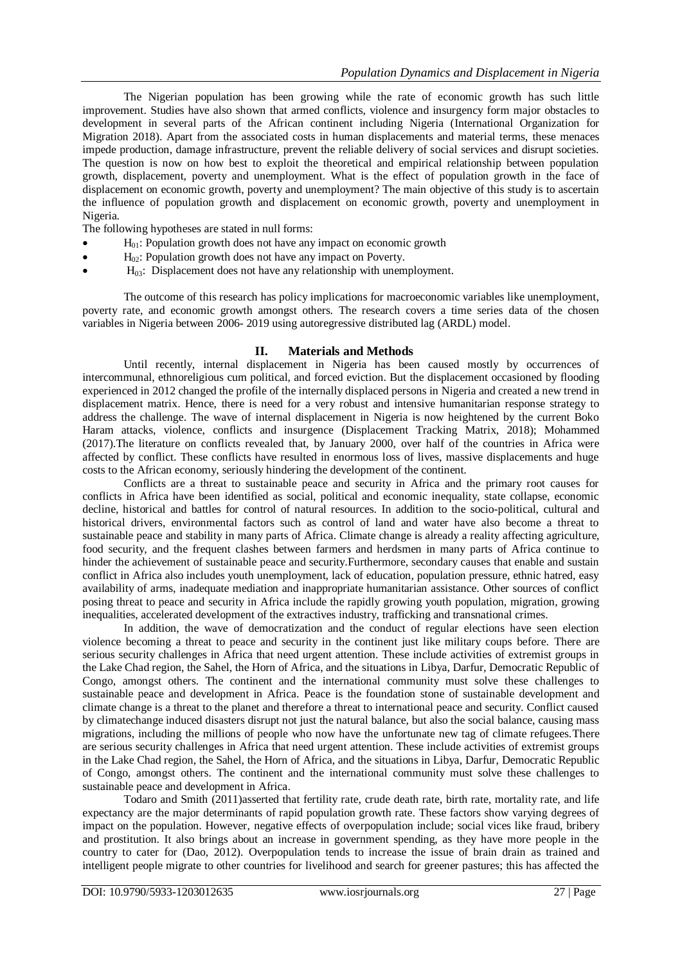The Nigerian population has been growing while the rate of economic growth has such little improvement. Studies have also shown that armed conflicts, violence and insurgency form major obstacles to development in several parts of the African continent including Nigeria (International Organization for Migration 2018). Apart from the associated costs in human displacements and material terms, these menaces impede production, damage infrastructure, prevent the reliable delivery of social services and disrupt societies. The question is now on how best to exploit the theoretical and empirical relationship between population growth, displacement, poverty and unemployment. What is the effect of population growth in the face of displacement on economic growth, poverty and unemployment? The main objective of this study is to ascertain the influence of population growth and displacement on economic growth, poverty and unemployment in Nigeria.

The following hypotheses are stated in null forms:

- $H<sub>01</sub>$ : Population growth does not have any impact on economic growth
- $H_{02}$ : Population growth does not have any impact on Poverty.
- $H<sub>03</sub>$ : Displacement does not have any relationship with unemployment.

The outcome of this research has policy implications for macroeconomic variables like unemployment, poverty rate, and economic growth amongst others. The research covers a time series data of the chosen variables in Nigeria between 2006- 2019 using autoregressive distributed lag (ARDL) model.

## **II. Materials and Methods**

Until recently, internal displacement in Nigeria has been caused mostly by occurrences of intercommunal, ethnoreligious cum political, and forced eviction. But the displacement occasioned by flooding experienced in 2012 changed the profile of the internally displaced persons in Nigeria and created a new trend in displacement matrix. Hence, there is need for a very robust and intensive humanitarian response strategy to address the challenge. The wave of internal displacement in Nigeria is now heightened by the current Boko Haram attacks, violence, conflicts and insurgence (Displacement Tracking Matrix, 2018); Mohammed (2017).The literature on conflicts revealed that, by January 2000, over half of the countries in Africa were affected by conflict. These conflicts have resulted in enormous loss of lives, massive displacements and huge costs to the African economy, seriously hindering the development of the continent.

Conflicts are a threat to sustainable peace and security in Africa and the primary root causes for conflicts in Africa have been identified as social, political and economic inequality, state collapse, economic decline, historical and battles for control of natural resources. In addition to the socio-political, cultural and historical drivers, environmental factors such as control of land and water have also become a threat to sustainable peace and stability in many parts of Africa. Climate change is already a reality affecting agriculture, food security, and the frequent clashes between farmers and herdsmen in many parts of Africa continue to hinder the achievement of sustainable peace and security.Furthermore, secondary causes that enable and sustain conflict in Africa also includes youth unemployment, lack of education, population pressure, ethnic hatred, easy availability of arms, inadequate mediation and inappropriate humanitarian assistance. Other sources of conflict posing threat to peace and security in Africa include the rapidly growing youth population, migration, growing inequalities, accelerated development of the extractives industry, trafficking and transnational crimes.

In addition, the wave of democratization and the conduct of regular elections have seen election violence becoming a threat to peace and security in the continent just like military coups before. There are serious security challenges in Africa that need urgent attention. These include activities of extremist groups in the Lake Chad region, the Sahel, the Horn of Africa, and the situations in Libya, Darfur, Democratic Republic of Congo, amongst others. The continent and the international community must solve these challenges to sustainable peace and development in Africa. Peace is the foundation stone of sustainable development and climate change is a threat to the planet and therefore a threat to international peace and security. Conflict caused by climatechange induced disasters disrupt not just the natural balance, but also the social balance, causing mass migrations, including the millions of people who now have the unfortunate new tag of climate refugees.There are serious security challenges in Africa that need urgent attention. These include activities of extremist groups in the Lake Chad region, the Sahel, the Horn of Africa, and the situations in Libya, Darfur, Democratic Republic of Congo, amongst others. The continent and the international community must solve these challenges to sustainable peace and development in Africa.

Todaro and Smith (2011)asserted that fertility rate, crude death rate, birth rate, mortality rate, and life expectancy are the major determinants of rapid population growth rate. These factors show varying degrees of impact on the population. However, negative effects of overpopulation include; social vices like fraud, bribery and prostitution. It also brings about an increase in government spending, as they have more people in the country to cater for (Dao, 2012). Overpopulation tends to increase the issue of brain drain as trained and intelligent people migrate to other countries for livelihood and search for greener pastures; this has affected the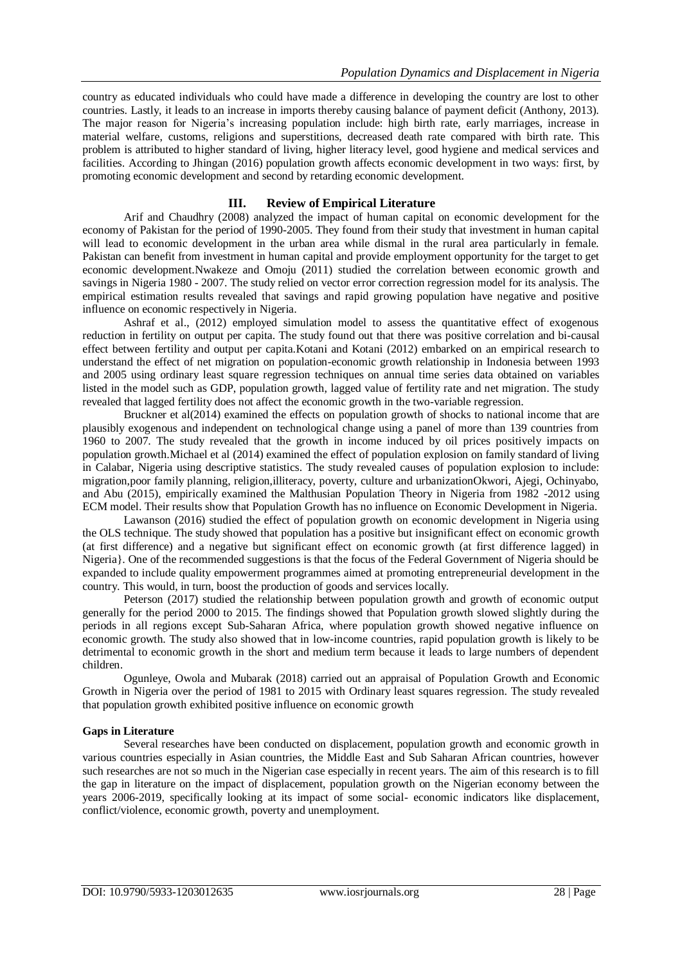country as educated individuals who could have made a difference in developing the country are lost to other countries. Lastly, it leads to an increase in imports thereby causing balance of payment deficit (Anthony, 2013). The major reason for Nigeria's increasing population include: high birth rate, early marriages, increase in material welfare, customs, religions and superstitions, decreased death rate compared with birth rate. This problem is attributed to higher standard of living, higher literacy level, good hygiene and medical services and facilities. According to Jhingan (2016) population growth affects economic development in two ways: first, by promoting economic development and second by retarding economic development.

## **III. Review of Empirical Literature**

Arif and Chaudhry (2008) analyzed the impact of human capital on economic development for the economy of Pakistan for the period of 1990-2005. They found from their study that investment in human capital will lead to economic development in the urban area while dismal in the rural area particularly in female. Pakistan can benefit from investment in human capital and provide employment opportunity for the target to get economic development.Nwakeze and Omoju (2011) studied the correlation between economic growth and savings in Nigeria 1980 - 2007. The study relied on vector error correction regression model for its analysis. The empirical estimation results revealed that savings and rapid growing population have negative and positive influence on economic respectively in Nigeria.

Ashraf et al., (2012) employed simulation model to assess the quantitative effect of exogenous reduction in fertility on output per capita. The study found out that there was positive correlation and bi-causal effect between fertility and output per capita.Kotani and Kotani (2012) embarked on an empirical research to understand the effect of net migration on population-economic growth relationship in Indonesia between 1993 and 2005 using ordinary least square regression techniques on annual time series data obtained on variables listed in the model such as GDP, population growth, lagged value of fertility rate and net migration. The study revealed that lagged fertility does not affect the economic growth in the two-variable regression.

Bruckner et al(2014) examined the effects on population growth of shocks to national income that are plausibly exogenous and independent on technological change using a panel of more than 139 countries from 1960 to 2007. The study revealed that the growth in income induced by oil prices positively impacts on population growth.Michael et al (2014) examined the effect of population explosion on family standard of living in Calabar, Nigeria using descriptive statistics. The study revealed causes of population explosion to include: migration,poor family planning, religion,illiteracy, poverty, culture and urbanizationOkwori, Ajegi, Ochinyabo, and Abu (2015), empirically examined the Malthusian Population Theory in Nigeria from 1982 -2012 using ECM model. Their results show that Population Growth has no influence on Economic Development in Nigeria.

Lawanson (2016) studied the effect of population growth on economic development in Nigeria using the OLS technique. The study showed that population has a positive but insignificant effect on economic growth (at first difference) and a negative but significant effect on economic growth (at first difference lagged) in Nigeria}. One of the recommended suggestions is that the focus of the Federal Government of Nigeria should be expanded to include quality empowerment programmes aimed at promoting entrepreneurial development in the country. This would, in turn, boost the production of goods and services locally.

Peterson (2017) studied the relationship between population growth and growth of economic output generally for the period 2000 to 2015. The findings showed that Population growth slowed slightly during the periods in all regions except Sub-Saharan Africa, where population growth showed negative influence on economic growth. The study also showed that in low-income countries, rapid population growth is likely to be detrimental to economic growth in the short and medium term because it leads to large numbers of dependent children.

Ogunleye, Owola and Mubarak (2018) carried out an appraisal of Population Growth and Economic Growth in Nigeria over the period of 1981 to 2015 with Ordinary least squares regression. The study revealed that population growth exhibited positive influence on economic growth

### **Gaps in Literature**

Several researches have been conducted on displacement, population growth and economic growth in various countries especially in Asian countries, the Middle East and Sub Saharan African countries, however such researches are not so much in the Nigerian case especially in recent years. The aim of this research is to fill the gap in literature on the impact of displacement, population growth on the Nigerian economy between the years 2006-2019, specifically looking at its impact of some social- economic indicators like displacement, conflict/violence, economic growth, poverty and unemployment.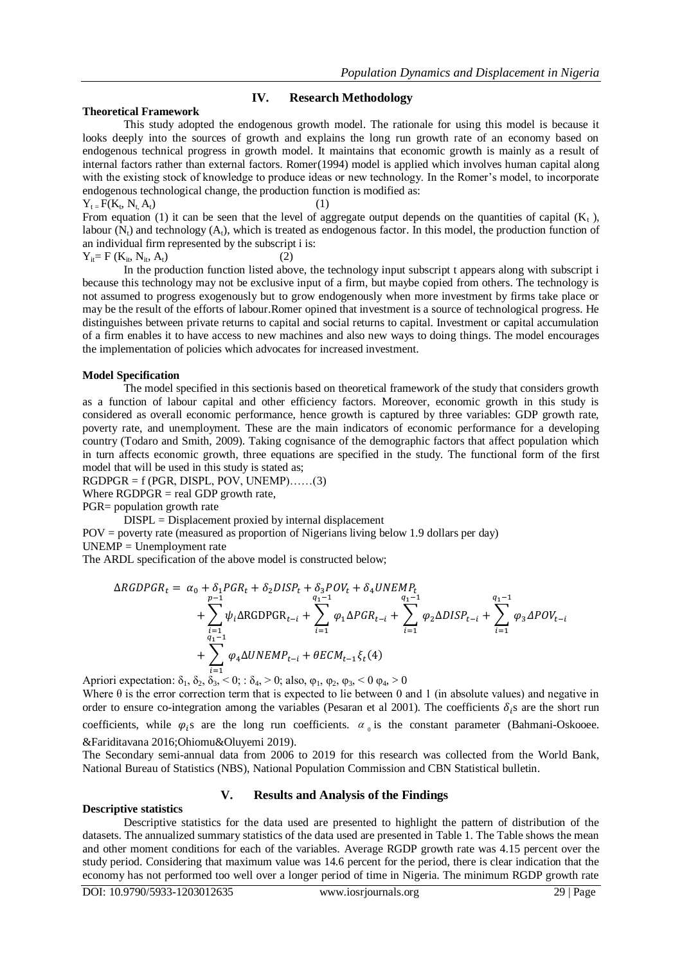## **IV. Research Methodology**

### **Theoretical Framework**

This study adopted the endogenous growth model. The rationale for using this model is because it looks deeply into the sources of growth and explains the long run growth rate of an economy based on endogenous technical progress in growth model. It maintains that economic growth is mainly as a result of internal factors rather than external factors. Romer(1994) model is applied which involves human capital along with the existing stock of knowledge to produce ideas or new technology. In the Romer's model, to incorporate endogenous technological change, the production function is modified as:

 $Y_t = F(K_t, N_t, A_t)$  (1) From equation (1) it can be seen that the level of aggregate output depends on the quantities of capital  $(K_t)$ , labour  $(N<sub>t</sub>)$  and technology  $(A<sub>t</sub>)$ , which is treated as endogenous factor. In this model, the production function of an individual firm represented by the subscript i is:

 $Y_{it} = F (K_{it}, N_{it}, A_t)$  (2)

In the production function listed above, the technology input subscript t appears along with subscript i because this technology may not be exclusive input of a firm, but maybe copied from others. The technology is not assumed to progress exogenously but to grow endogenously when more investment by firms take place or may be the result of the efforts of labour.Romer opined that investment is a source of technological progress. He distinguishes between private returns to capital and social returns to capital. Investment or capital accumulation of a firm enables it to have access to new machines and also new ways to doing things. The model encourages the implementation of policies which advocates for increased investment.

### **Model Specification**

The model specified in this sectionis based on theoretical framework of the study that considers growth as a function of labour capital and other efficiency factors. Moreover, economic growth in this study is considered as overall economic performance, hence growth is captured by three variables: GDP growth rate, poverty rate, and unemployment. These are the main indicators of economic performance for a developing country (Todaro and Smith, 2009). Taking cognisance of the demographic factors that affect population which in turn affects economic growth, three equations are specified in the study. The functional form of the first model that will be used in this study is stated as;

 $RGDPGR = f (PGR, DISPL, POV, UNEMP)$ ......(3)

Where  $RGDPGR = real GDP$  growth rate,

PGR= population growth rate

DISPL = Displacement proxied by internal displacement

POV = poverty rate (measured as proportion of Nigerians living below 1.9 dollars per day)

 $UNEMP = Unembovment rate$ 

The ARDL specification of the above model is constructed below;

$$
\Delta RGDPGR_t = \alpha_0 + \delta_1 PGR_t + \delta_2 DISP_t + \delta_3 POV_t + \delta_4 UNEMP_t
$$
  
+ 
$$
\sum_{\substack{i=1 \ i=1}}^{p-1} \psi_i \Delta RGDPGR_{t-i} + \sum_{i=1}^{q_1-1} \varphi_1 \Delta PGR_{t-i} + \sum_{i=1}^{q_1-1} \varphi_2 \Delta DISP_{t-i} + \sum_{i=1}^{q_1-1} \varphi_3 \Delta POV_{t-i}
$$
  
+ 
$$
\sum_{i=1}^{q_1-1} \varphi_4 \Delta UNEMP_{t-i} + \theta ECM_{t-1} \xi_t(4)
$$

Apriori expectation:  $\delta_1$ ,  $\delta_2$ ,  $\delta_3$ , < 0;  $\delta_4$ , > 0; also,  $\varphi_1$ ,  $\varphi_2$ ,  $\varphi_3$ , < 0  $\varphi_4$ , > 0 Where  $\theta$  is the error correction term that is expected to lie between 0 and 1 (in absolute values) and negative in order to ensure co-integration among the variables (Pesaran et al 2001). The coefficients  $\delta_i$ s are the short run

coefficients, while  $\varphi_i$ s are the long run coefficients.  $\alpha_{\theta}$  is the constant parameter (Bahmani-Oskooee. &Fariditavana 2016;Ohiomu&Oluyemi 2019).

The Secondary semi-annual data from 2006 to 2019 for this research was collected from the World Bank, National Bureau of Statistics (NBS), National Population Commission and CBN Statistical bulletin.

## **V. Results and Analysis of the Findings**

#### **Descriptive statistics**

Descriptive statistics for the data used are presented to highlight the pattern of distribution of the datasets. The annualized summary statistics of the data used are presented in Table 1. The Table shows the mean and other moment conditions for each of the variables. Average RGDP growth rate was 4.15 percent over the study period. Considering that maximum value was 14.6 percent for the period, there is clear indication that the economy has not performed too well over a longer period of time in Nigeria. The minimum RGDP growth rate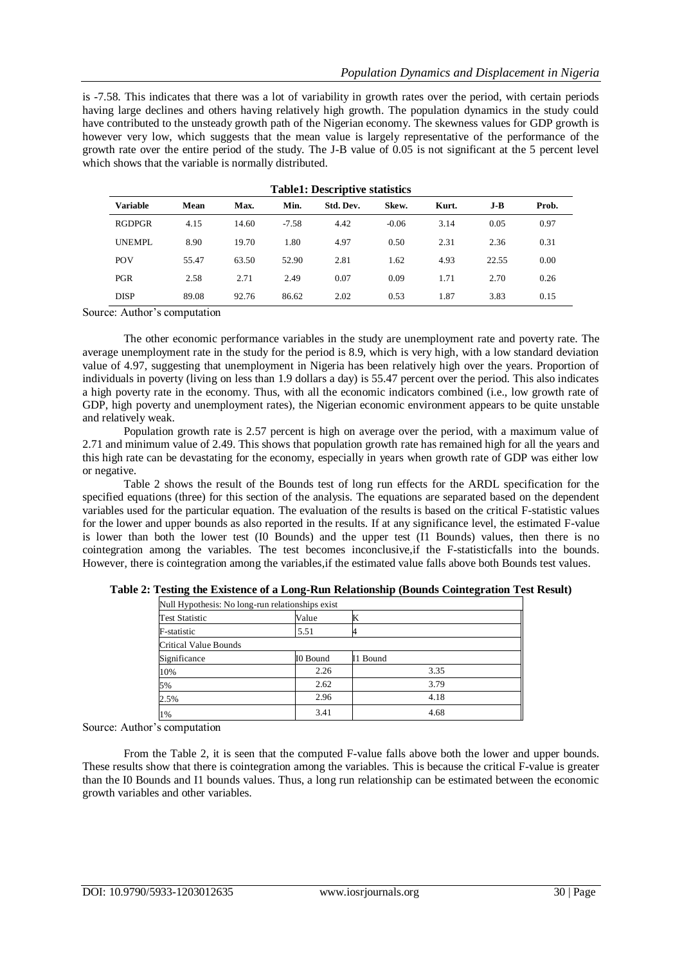is -7.58. This indicates that there was a lot of variability in growth rates over the period, with certain periods having large declines and others having relatively high growth. The population dynamics in the study could have contributed to the unsteady growth path of the Nigerian economy. The skewness values for GDP growth is however very low, which suggests that the mean value is largely representative of the performance of the growth rate over the entire period of the study. The J-B value of 0.05 is not significant at the 5 percent level which shows that the variable is normally distributed.

| Table Pescriptive statistics |       |       |         |           |         |       |       |       |
|------------------------------|-------|-------|---------|-----------|---------|-------|-------|-------|
| <b>Variable</b>              | Mean  | Max.  | Min.    | Std. Dev. | Skew.   | Kurt. | J-B   | Prob. |
| RGDPGR                       | 4.15  | 14.60 | $-7.58$ | 4.42      | $-0.06$ | 3.14  | 0.05  | 0.97  |
| <b>UNEMPL</b>                | 8.90  | 19.70 | 1.80    | 4.97      | 0.50    | 2.31  | 2.36  | 0.31  |
| <b>POV</b>                   | 55.47 | 63.50 | 52.90   | 2.81      | 1.62    | 4.93  | 22.55 | 0.00  |
| <b>PGR</b>                   | 2.58  | 2.71  | 2.49    | 0.07      | 0.09    | 1.71  | 2.70  | 0.26  |
| <b>DISP</b>                  | 89.08 | 92.76 | 86.62   | 2.02      | 0.53    | 1.87  | 3.83  | 0.15  |

|  |  |  | <b>Table1: Descriptive statistics</b> |
|--|--|--|---------------------------------------|
|--|--|--|---------------------------------------|

Source: Author's computation

The other economic performance variables in the study are unemployment rate and poverty rate. The average unemployment rate in the study for the period is 8.9, which is very high, with a low standard deviation value of 4.97, suggesting that unemployment in Nigeria has been relatively high over the years. Proportion of individuals in poverty (living on less than 1.9 dollars a day) is 55.47 percent over the period. This also indicates a high poverty rate in the economy. Thus, with all the economic indicators combined (i.e., low growth rate of GDP, high poverty and unemployment rates), the Nigerian economic environment appears to be quite unstable and relatively weak.

Population growth rate is 2.57 percent is high on average over the period, with a maximum value of 2.71 and minimum value of 2.49. This shows that population growth rate has remained high for all the years and this high rate can be devastating for the economy, especially in years when growth rate of GDP was either low or negative.

Table 2 shows the result of the Bounds test of long run effects for the ARDL specification for the specified equations (three) for this section of the analysis. The equations are separated based on the dependent variables used for the particular equation. The evaluation of the results is based on the critical F-statistic values for the lower and upper bounds as also reported in the results. If at any significance level, the estimated F-value is lower than both the lower test (I0 Bounds) and the upper test (I1 Bounds) values, then there is no cointegration among the variables. The test becomes inconclusive,if the F-statisticfalls into the bounds. However, there is cointegration among the variables,if the estimated value falls above both Bounds test values.

| Null Hypothesis: No long-run relationships exist |          |          |  |
|--------------------------------------------------|----------|----------|--|
| <b>Test Statistic</b>                            | Value    | IN       |  |
| F-statistic                                      | 5.51     |          |  |
| <b>Critical Value Bounds</b>                     |          |          |  |
| Significance                                     | I0 Bound | I1 Bound |  |
| 10%                                              | 2.26     | 3.35     |  |
| 5%                                               | 2.62     | 3.79     |  |
| 2.5%                                             | 2.96     | 4.18     |  |
| 1%                                               | 3.41     | 4.68     |  |

**Table 2: Testing the Existence of a Long-Run Relationship (Bounds Cointegration Test Result)**

Source: Author's computation

From the Table 2, it is seen that the computed F-value falls above both the lower and upper bounds. These results show that there is cointegration among the variables. This is because the critical F-value is greater than the I0 Bounds and I1 bounds values. Thus, a long run relationship can be estimated between the economic growth variables and other variables.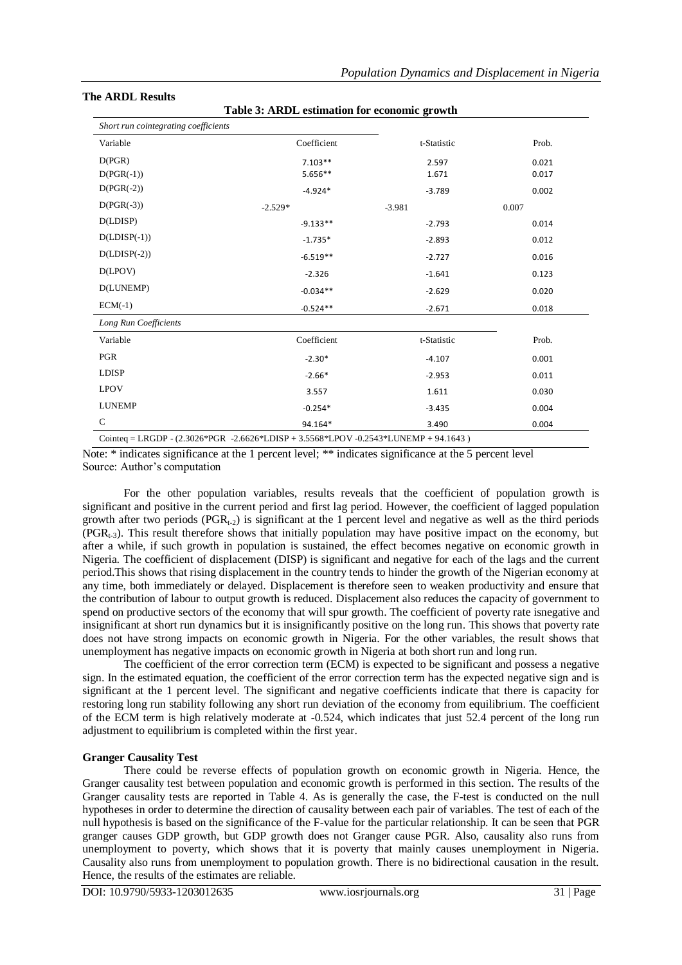### **The ARDL Results**

**Table 3: ARDL estimation for economic growth**

| Short run cointegrating coefficients |             |             |       |
|--------------------------------------|-------------|-------------|-------|
| Variable                             | Coefficient | t-Statistic | Prob. |
| D(PGR)                               | $7.103**$   | 2.597       | 0.021 |
| $D(PGR(-1))$                         | 5.656**     | 1.671       | 0.017 |
| $D(PGR(-2))$                         | $-4.924*$   | $-3.789$    | 0.002 |
| $D(PGR(-3))$                         | $-2.529*$   | $-3.981$    | 0.007 |
| D(LDISP)                             | $-9.133**$  | $-2.793$    | 0.014 |
| $D(LDISP(-1))$                       | $-1.735*$   | $-2.893$    | 0.012 |
| $D(LDISP(-2))$                       | $-6.519**$  | $-2.727$    | 0.016 |
| D(LPOV)                              | $-2.326$    | $-1.641$    | 0.123 |
| D(LUNEMP)                            | $-0.034**$  | $-2.629$    | 0.020 |
| $ECM(-1)$                            | $-0.524**$  | $-2.671$    | 0.018 |
| Long Run Coefficients                |             |             |       |
| Variable                             | Coefficient | t-Statistic | Prob. |
| PGR                                  | $-2.30*$    | $-4.107$    | 0.001 |
| <b>LDISP</b>                         | $-2.66*$    | $-2.953$    | 0.011 |
| <b>LPOV</b>                          | 3.557       | 1.611       | 0.030 |
| <b>LUNEMP</b>                        | $-0.254*$   | $-3.435$    | 0.004 |
| $\mathsf{C}$                         | 94.164*     | 3.490       | 0.004 |

Note: \* indicates significance at the 1 percent level; \*\* indicates significance at the 5 percent level Source: Author's computation

For the other population variables, results reveals that the coefficient of population growth is significant and positive in the current period and first lag period. However, the coefficient of lagged population growth after two periods ( $PGR_{t-2}$ ) is significant at the 1 percent level and negative as well as the third periods  $(PGR_{t-3})$ . This result therefore shows that initially population may have positive impact on the economy, but after a while, if such growth in population is sustained, the effect becomes negative on economic growth in Nigeria. The coefficient of displacement (DISP) is significant and negative for each of the lags and the current period.This shows that rising displacement in the country tends to hinder the growth of the Nigerian economy at any time, both immediately or delayed. Displacement is therefore seen to weaken productivity and ensure that the contribution of labour to output growth is reduced. Displacement also reduces the capacity of government to spend on productive sectors of the economy that will spur growth. The coefficient of poverty rate isnegative and insignificant at short run dynamics but it is insignificantly positive on the long run. This shows that poverty rate does not have strong impacts on economic growth in Nigeria. For the other variables, the result shows that unemployment has negative impacts on economic growth in Nigeria at both short run and long run.

The coefficient of the error correction term (ECM) is expected to be significant and possess a negative sign. In the estimated equation, the coefficient of the error correction term has the expected negative sign and is significant at the 1 percent level. The significant and negative coefficients indicate that there is capacity for restoring long run stability following any short run deviation of the economy from equilibrium. The coefficient of the ECM term is high relatively moderate at -0.524, which indicates that just 52.4 percent of the long run adjustment to equilibrium is completed within the first year.

### **Granger Causality Test**

There could be reverse effects of population growth on economic growth in Nigeria. Hence, the Granger causality test between population and economic growth is performed in this section. The results of the Granger causality tests are reported in Table 4. As is generally the case, the F-test is conducted on the null hypotheses in order to determine the direction of causality between each pair of variables. The test of each of the null hypothesis is based on the significance of the F-value for the particular relationship. It can be seen that PGR granger causes GDP growth, but GDP growth does not Granger cause PGR. Also, causality also runs from unemployment to poverty, which shows that it is poverty that mainly causes unemployment in Nigeria. Causality also runs from unemployment to population growth. There is no bidirectional causation in the result. Hence, the results of the estimates are reliable.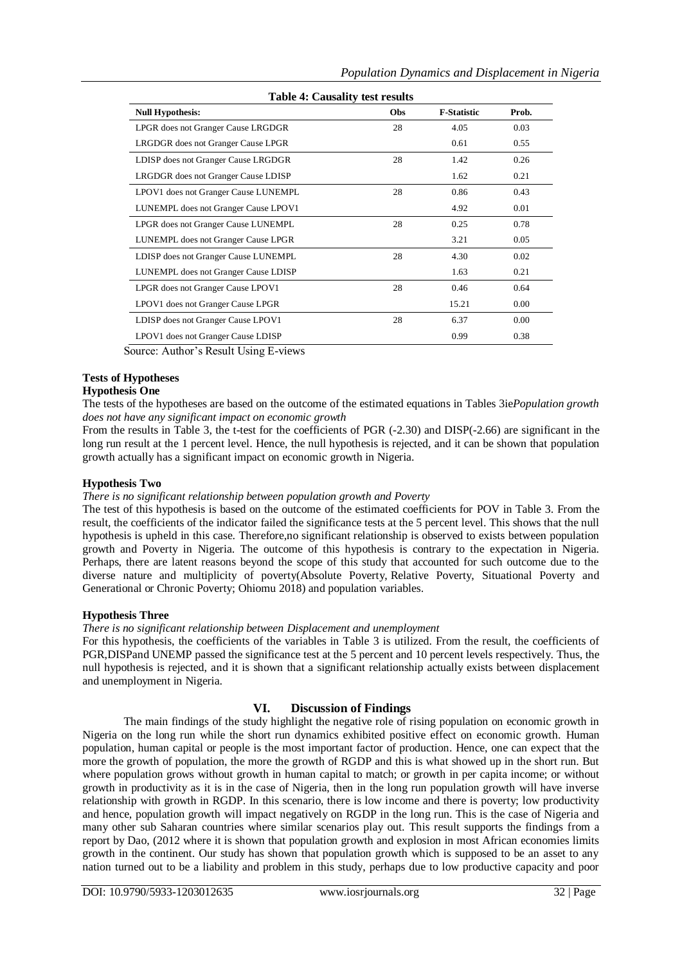| <b>Table 4: Causality test results</b> |     |                    |       |  |  |
|----------------------------------------|-----|--------------------|-------|--|--|
| <b>Null Hypothesis:</b>                | Obs | <b>F-Statistic</b> | Prob. |  |  |
| LPGR does not Granger Cause LRGDGR     | 28  | 4.05               | 0.03  |  |  |
| LRGDGR does not Granger Cause LPGR     |     | 0.61               | 0.55  |  |  |
| LDISP does not Granger Cause LRGDGR    | 28  | 1.42               | 0.26  |  |  |
| LRGDGR does not Granger Cause LDISP    |     | 1.62               | 0.21  |  |  |
| LPOV1 does not Granger Cause LUNEMPL   | 28  | 0.86               | 0.43  |  |  |
| LUNEMPL does not Granger Cause LPOV1   |     | 4.92               | 0.01  |  |  |
| LPGR does not Granger Cause LUNEMPL    | 28  | 0.25               | 0.78  |  |  |
| LUNEMPL does not Granger Cause LPGR    |     | 3.21               | 0.05  |  |  |
| LDISP does not Granger Cause LUNEMPL   | 28  | 4.30               | 0.02  |  |  |
| LUNEMPL does not Granger Cause LDISP   |     | 1.63               | 0.21  |  |  |
| LPGR does not Granger Cause LPOV1      | 28  | 0.46               | 0.64  |  |  |
| LPOV1 does not Granger Cause LPGR      |     | 15.21              | 0.00  |  |  |
| LDISP does not Granger Cause LPOV1     | 28  | 6.37               | 0.00  |  |  |
| LPOV1 does not Granger Cause LDISP     |     | 0.99               | 0.38  |  |  |

Source: Author's Result Using E-views

# **Tests of Hypotheses**

# **Hypothesis One**

The tests of the hypotheses are based on the outcome of the estimated equations in Tables 3ie*Population growth does not have any significant impact on economic growth*

From the results in Table 3, the t-test for the coefficients of PGR (-2.30) and DISP(-2.66) are significant in the long run result at the 1 percent level. Hence, the null hypothesis is rejected, and it can be shown that population growth actually has a significant impact on economic growth in Nigeria.

## **Hypothesis Two**

## *There is no significant relationship between population growth and Poverty*

The test of this hypothesis is based on the outcome of the estimated coefficients for POV in Table 3. From the result, the coefficients of the indicator failed the significance tests at the 5 percent level. This shows that the null hypothesis is upheld in this case. Therefore,no significant relationship is observed to exists between population growth and Poverty in Nigeria. The outcome of this hypothesis is contrary to the expectation in Nigeria. Perhaps, there are latent reasons beyond the scope of this study that accounted for such outcome due to the diverse nature and multiplicity of poverty(Absolute Poverty, Relative Poverty, Situational Poverty and Generational or Chronic Poverty; Ohiomu 2018) and population variables.

## **Hypothesis Three**

## *There is no significant relationship between Displacement and unemployment*

For this hypothesis, the coefficients of the variables in Table 3 is utilized. From the result, the coefficients of PGR,DISPand UNEMP passed the significance test at the 5 percent and 10 percent levels respectively. Thus, the null hypothesis is rejected, and it is shown that a significant relationship actually exists between displacement and unemployment in Nigeria.

## **VI. Discussion of Findings**

The main findings of the study highlight the negative role of rising population on economic growth in Nigeria on the long run while the short run dynamics exhibited positive effect on economic growth. Human population, human capital or people is the most important factor of production. Hence, one can expect that the more the growth of population, the more the growth of RGDP and this is what showed up in the short run. But where population grows without growth in human capital to match; or growth in per capita income; or without growth in productivity as it is in the case of Nigeria, then in the long run population growth will have inverse relationship with growth in RGDP. In this scenario, there is low income and there is poverty; low productivity and hence, population growth will impact negatively on RGDP in the long run. This is the case of Nigeria and many other sub Saharan countries where similar scenarios play out. This result supports the findings from a report by Dao, (2012 where it is shown that population growth and explosion in most African economies limits growth in the continent. Our study has shown that population growth which is supposed to be an asset to any nation turned out to be a liability and problem in this study, perhaps due to low productive capacity and poor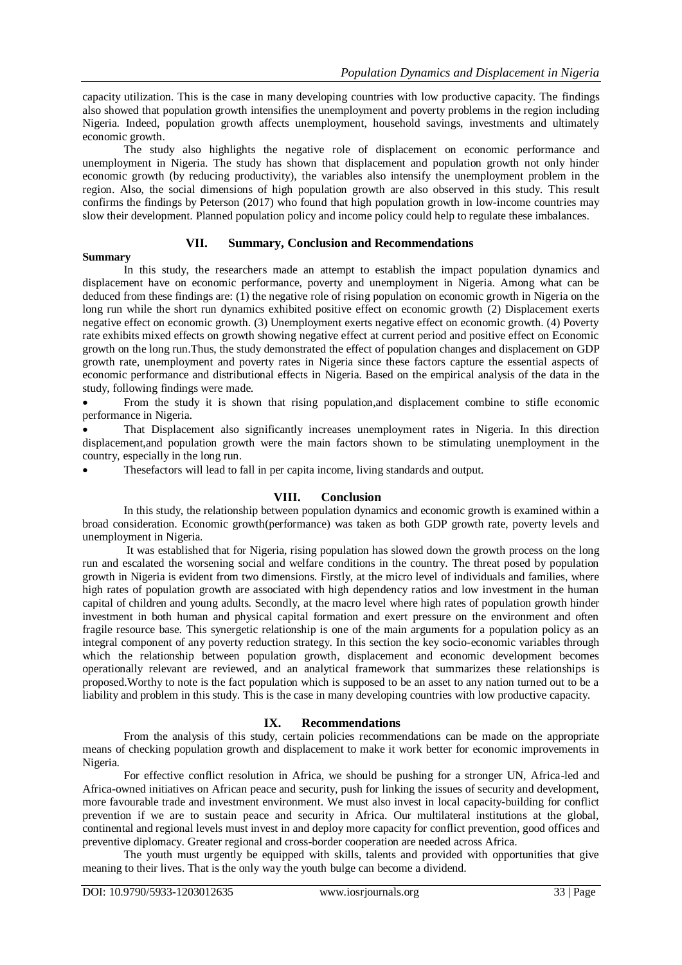capacity utilization. This is the case in many developing countries with low productive capacity. The findings also showed that population growth intensifies the unemployment and poverty problems in the region including Nigeria. Indeed, population growth affects unemployment, household savings, investments and ultimately economic growth.

The study also highlights the negative role of displacement on economic performance and unemployment in Nigeria. The study has shown that displacement and population growth not only hinder economic growth (by reducing productivity), the variables also intensify the unemployment problem in the region. Also, the social dimensions of high population growth are also observed in this study. This result confirms the findings by Peterson (2017) who found that high population growth in low-income countries may slow their development. Planned population policy and income policy could help to regulate these imbalances.

## **VII. Summary, Conclusion and Recommendations**

### **Summary**

In this study, the researchers made an attempt to establish the impact population dynamics and displacement have on economic performance, poverty and unemployment in Nigeria. Among what can be deduced from these findings are: (1) the negative role of rising population on economic growth in Nigeria on the long run while the short run dynamics exhibited positive effect on economic growth (2) Displacement exerts negative effect on economic growth. (3) Unemployment exerts negative effect on economic growth. (4) Poverty rate exhibits mixed effects on growth showing negative effect at current period and positive effect on Economic growth on the long run.Thus, the study demonstrated the effect of population changes and displacement on GDP growth rate, unemployment and poverty rates in Nigeria since these factors capture the essential aspects of economic performance and distributional effects in Nigeria. Based on the empirical analysis of the data in the study, following findings were made.

 From the study it is shown that rising population,and displacement combine to stifle economic performance in Nigeria.

 That Displacement also significantly increases unemployment rates in Nigeria. In this direction displacement,and population growth were the main factors shown to be stimulating unemployment in the country, especially in the long run.

Thesefactors will lead to fall in per capita income, living standards and output.

## **VIII. Conclusion**

In this study, the relationship between population dynamics and economic growth is examined within a broad consideration. Economic growth(performance) was taken as both GDP growth rate, poverty levels and unemployment in Nigeria.

It was established that for Nigeria, rising population has slowed down the growth process on the long run and escalated the worsening social and welfare conditions in the country. The threat posed by population growth in Nigeria is evident from two dimensions. Firstly, at the micro level of individuals and families, where high rates of population growth are associated with high dependency ratios and low investment in the human capital of children and young adults. Secondly, at the macro level where high rates of population growth hinder investment in both human and physical capital formation and exert pressure on the environment and often fragile resource base. This synergetic relationship is one of the main arguments for a population policy as an integral component of any poverty reduction strategy. In this section the key socio-economic variables through which the relationship between population growth, displacement and economic development becomes operationally relevant are reviewed, and an analytical framework that summarizes these relationships is proposed.Worthy to note is the fact population which is supposed to be an asset to any nation turned out to be a liability and problem in this study. This is the case in many developing countries with low productive capacity.

## **IX. Recommendations**

From the analysis of this study, certain policies recommendations can be made on the appropriate means of checking population growth and displacement to make it work better for economic improvements in Nigeria.

For effective conflict resolution in Africa, we should be pushing for a stronger UN, Africa-led and Africa-owned initiatives on African peace and security, push for linking the issues of security and development, more favourable trade and investment environment. We must also invest in local capacity-building for conflict prevention if we are to sustain peace and security in Africa. Our multilateral institutions at the global, continental and regional levels must invest in and deploy more capacity for conflict prevention, good offices and preventive diplomacy. Greater regional and cross-border cooperation are needed across Africa.

The youth must urgently be equipped with skills, talents and provided with opportunities that give meaning to their lives. That is the only way the youth bulge can become a dividend.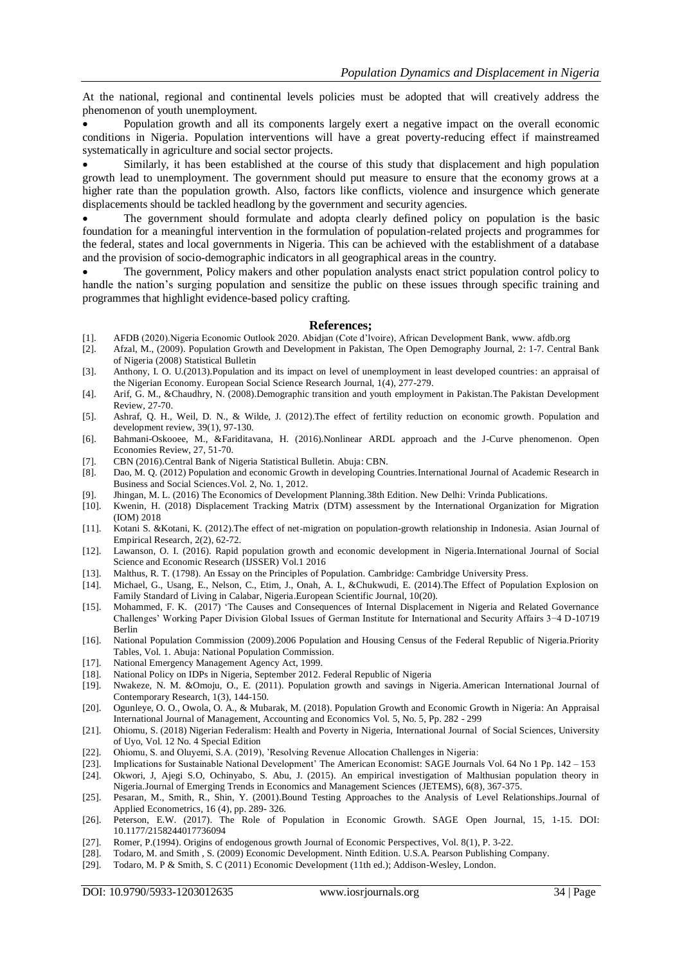At the national, regional and continental levels policies must be adopted that will creatively address the phenomenon of youth unemployment.

 Population growth and all its components largely exert a negative impact on the overall economic conditions in Nigeria. Population interventions will have a great poverty-reducing effect if mainstreamed systematically in agriculture and social sector projects.

 Similarly, it has been established at the course of this study that displacement and high population growth lead to unemployment. The government should put measure to ensure that the economy grows at a higher rate than the population growth. Also, factors like conflicts, violence and insurgence which generate displacements should be tackled headlong by the government and security agencies.

 The government should formulate and adopta clearly defined policy on population is the basic foundation for a meaningful intervention in the formulation of population-related projects and programmes for the federal, states and local governments in Nigeria. This can be achieved with the establishment of a database and the provision of socio-demographic indicators in all geographical areas in the country.

 The government, Policy makers and other population analysts enact strict population control policy to handle the nation's surging population and sensitize the public on these issues through specific training and programmes that highlight evidence-based policy crafting.

#### **References;**

- [1]. AFDB (2020).Nigeria Economic Outlook 2020. Abidjan (Cote d'lvoire), African Development Bank, www. afdb.org
- [2]. Afzal, M., (2009). Population Growth and Development in Pakistan, The Open Demography Journal, 2: 1-7. Central Bank of Nigeria (2008) Statistical Bulletin
- [3]. Anthony, I. O. U.(2013).Population and its impact on level of unemployment in least developed countries: an appraisal of the Nigerian Economy. European Social Science Research Journal, 1(4), 277-279.
- [4]. Arif, G. M., &Chaudhry, N. (2008).Demographic transition and youth employment in Pakistan.The Pakistan Development Review, 27-70.
- [5]. Ashraf, Q. H., Weil, D. N., & Wilde, J. (2012).The effect of fertility reduction on economic growth. Population and development review, 39(1), 97-130.
- [6]. Bahmani-Oskooee, M., &Fariditavana, H. (2016).Nonlinear ARDL approach and the J-Curve phenomenon. Open Economies Review, 27, 51-70.
- [7]. CBN (2016).Central Bank of Nigeria Statistical Bulletin. Abuja: CBN.
- [8]. Dao, M. Q. (2012) Population and economic Growth in developing Countries.International Journal of Academic Research in Business and Social Sciences.Vol. 2, No. 1, 2012.
- [9]. Jhingan, M. L. (2016) The Economics of Development Planning.38th Edition. New Delhi: Vrinda Publications.
- Kwenin, H. (2018) Displacement Tracking Matrix (DTM) assessment by the International Organization for Migration (IOM) 2018
- [11]. Kotani S. &Kotani, K. (2012).The effect of net-migration on population-growth relationship in Indonesia. Asian Journal of Empirical Research, 2(2), 62-72.
- [12]. Lawanson, O. I. (2016). Rapid population growth and economic development in Nigeria.International Journal of Social Science and Economic Research (IJSSER) Vol.1 2016
- [13]. Malthus, R. T. (1798). An Essay on the Principles of Population. Cambridge: Cambridge University Press.
- [14]. Michael, G., Usang, E., Nelson, C., Etim, J., Onah, A. I., &Chukwudi, E. (2014).The Effect of Population Explosion on Family Standard of Living in Calabar, Nigeria.European Scientific Journal, 10(20).
- [15]. Mohammed, F. K. (2017) 'The Causes and Consequences of Internal Displacement in Nigeria and Related Governance Challenges' Working Paper Division Global Issues of German Institute for International and Security Affairs 3−4 D-10719 Berlin
- [16]. National Population Commission (2009).2006 Population and Housing Census of the Federal Republic of Nigeria.Priority Tables, Vol. 1. Abuja: National Population Commission.
- [17]. National Emergency Management Agency Act, 1999.
- [18]. National Policy on IDPs in Nigeria, September 2012. Federal Republic of Nigeria
- [19]. Nwakeze, N. M. &Omoju, O., E. (2011). Population growth and savings in Nigeria.American International Journal of Contemporary Research, 1(3), 144-150.
- [20]. Ogunleye, O. O., Owola, O. A., & Mubarak, M. (2018). Population Growth and Economic Growth in Nigeria: An Appraisal International Journal of Management, Accounting and Economics Vol. 5, No. 5, Pp. 282 - 299
- [21]. Ohiomu, S. (2018) Nigerian Federalism: Health and Poverty in Nigeria, International Journal of Social Sciences, University of Uyo, Vol. 12 No. 4 Special Edition
- [22]. Ohiomu, S. and Oluyemi, S.A. (2019), 'Resolving Revenue Allocation Challenges in Nigeria:
- [23]. Implications for Sustainable National Development' The American Economist: SAGE Journals Vol. 64 No 1 Pp. 142 153
- [24]. Okwori, J, Ajegi S.O, Ochinyabo, S. Abu, J. (2015). An empirical investigation of Malthusian population theory in Nigeria.Journal of Emerging Trends in Economics and Management Sciences (JETEMS), 6(8), 367-375.
- [25]. Pesaran, M., Smith, R., Shin, Y. (2001).Bound Testing Approaches to the Analysis of Level Relationships.Journal of Applied Econometrics, 16 (4), pp. 289- 326.
- [26]. Peterson, E.W. (2017). The Role of Population in Economic Growth. SAGE Open Journal, 15, 1-15. DOI: 10.1177/2158244017736094
- [27]. Romer, P.(1994). Origins of endogenous growth Journal of Economic Perspectives, Vol. 8(1), P. 3-22.
- [28]. Todaro, M. and Smith , S. (2009) Economic Development. Ninth Edition. U.S.A. Pearson Publishing Company.
- [29]. Todaro, M. P & Smith, S. C (2011) Economic Development (11th ed.); Addison-Wesley, London.